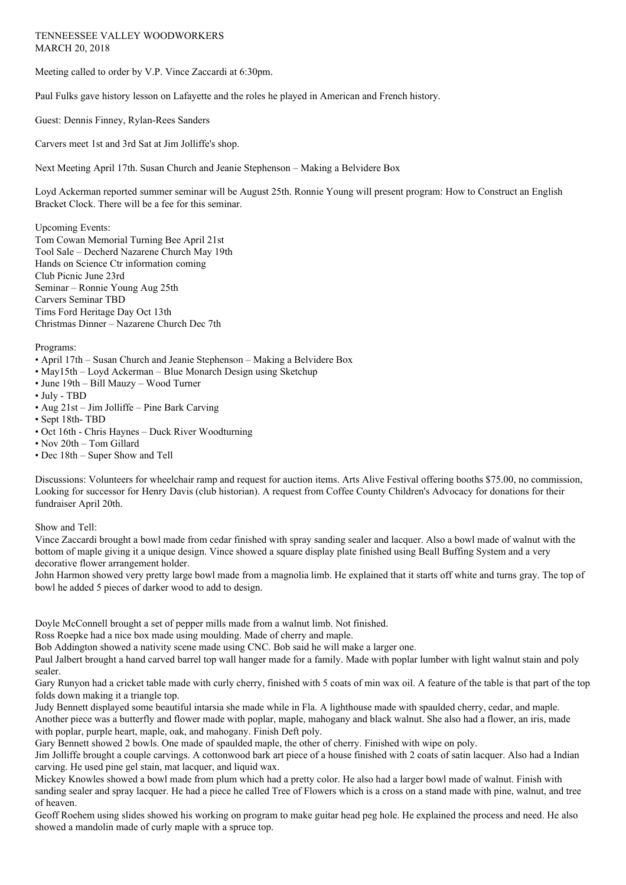## TENNEESSEE VALLEY WOODWORKERS MARCH 20, 2018

Meeting called to order by V.P. Vince Zaccardi at 6:30pm.

Paul Fulks gave history lesson on Lafayette and the roles he played in American and French history.

Guest: Dennis Finney, Rylan-Rees Sanders

Carvers meet 1st and 3rd Sat at Jim Jolliffe's shop.

Next Meeting April 17th. Susan Church and Jeanie Stephenson – Making a Belvidere Box

Loyd Ackerman reported summer seminar will be August 25th. Ronnie Young will present program: How to Construct an English Bracket Clock. There will be a fee for this seminar.

Upcoming Events: Tom Cowan Memorial Turning Bee April 21st Tool Sale – Decherd Nazarene Church May 19th Hands on Science Ctr information coming Club Picnic June 23rd Seminar – Ronnie Young Aug 25th Carvers Seminar TBD Tims Ford Heritage Day Oct 13th Christmas Dinner – Nazarene Church Dec 7th

Programs:

- April 17th Susan Church and Jeanie Stephenson Making a Belvidere Box
- May15th Loyd Ackerman Blue Monarch Design using Sketchup
- June 19th Bill Mauzy Wood Turner
- July TBD
- Aug 21st Jim Jolliffe Pine Bark Carving
- Sept 18th- TBD
- Oct 16th Chris Haynes Duck River Woodturning
- Nov 20th Tom Gillard
- Dec 18th Super Show and Tell

Discussions: Volunteers for wheelchair ramp and request for auction items. Arts Alive Festival offering booths \$75.00, no commission, Looking for successor for Henry Davis (club historian). A request from Coffee County Children's Advocacy for donations for their fundraiser April 20th.

Show and Tell:

Vince Zaccardi brought a bowl made from cedar finished with spray sanding sealer and lacquer. Also a bowl made of walnut with the bottom of maple giving it a unique design. Vince showed a square display plate finished using Beall Buffing System and a very decorative flower arrangement holder.

John Harmon showed very pretty large bowl made from a magnolia limb. He explained that it starts off white and turns gray. The top of bowl he added 5 pieces of darker wood to add to design.

Doyle McConnell brought a set of pepper mills made from a walnut limb. Not finished.

Ross Roepke had a nice box made using moulding. Made of cherry and maple.

Bob Addington showed a nativity scene made using CNC. Bob said he will make a larger one.

Paul Jalbert brought a hand carved barrel top wall hanger made for a family. Made with poplar lumber with light walnut stain and poly sealer.

Gary Runyon had a cricket table made with curly cherry, finished with 5 coats of min wax oil. A feature of the table is that part of the top folds down making it a triangle top.

Judy Bennett displayed some beautiful intarsia she made while in Fla. A lighthouse made with spaulded cherry, cedar, and maple. Another piece was a butterfly and flower made with poplar, maple, mahogany and black walnut. She also had a flower, an iris, made with poplar, purple heart, maple, oak, and mahogany. Finish Deft poly.

Gary Bennett showed 2 bowls. One made of spaulded maple, the other of cherry. Finished with wipe on poly.

Jim Jolliffe brought a couple carvings. A cottonwood bark art piece of a house finished with 2 coats of satin lacquer. Also had a Indian carving. He used pine gel stain, mat lacquer, and liquid wax.

Mickey Knowles showed a bowl made from plum which had a pretty color. He also had a larger bowl made of walnut. Finish with sanding sealer and spray lacquer. He had a piece he called Tree of Flowers which is a cross on a stand made with pine, walnut, and tree of heaven.

Geoff Roehem using slides showed his working on program to make guitar head peg hole. He explained the process and need. He also showed a mandolin made of curly maple with a spruce top.